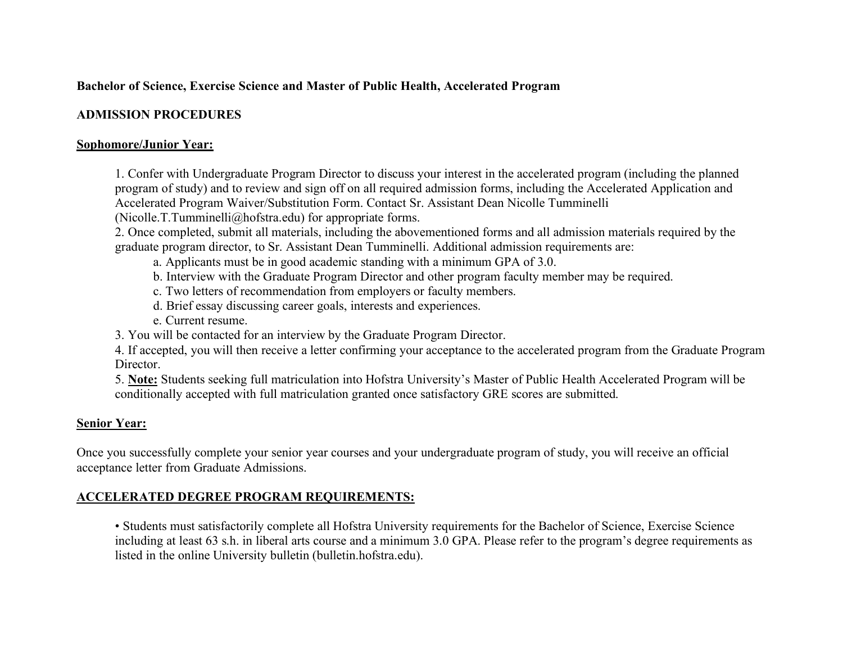## **Bachelor of Science, Exercise Science and Master of Public Health, Accelerated Program**

## **ADMISSION PROCEDURES**

#### **Sophomore/Junior Year:**

 1. Confer with Undergraduate Program Director to discuss your interest in the accelerated program (including the planned program of study) and to review and sign off on all required admission forms, including the Accelerated Application and Accelerated Program Waiver/Substitution Form. Contact Sr. Assistant Dean Nicolle Tumminelli

([Nicolle.T.Tumminelli@hofstra.edu](mailto:Nicolle.T.Tumminelli@hofstra.edu)) for appropriate forms.

 2. Once completed, submit all materials, including the abovementioned forms and all admission materials required by the graduate program director, to Sr. Assistant Dean Tumminelli. Additional admission requirements are:

- a. Applicants must be in good academic standing with a minimum GPA of 3.0.
- b. Interview with the Graduate Program Director and other program faculty member may be required.
- c. Two letters of recommendation from employers or faculty members.
- d. Brief essay discussing career goals, interests and experiences.
- e. Current resume.
- 3. You will be contacted for an interview by the Graduate Program Director.

 4. If accepted, you will then receive a letter confirming your acceptance to the accelerated program from the Graduate Program Director.

Director.<br>5. **Note:** Students seeking full matriculation into Hofstra University's Master of Public Health Accelerated Program will be conditionally accepted with full matriculation granted once satisfactory GRE scores are submitted.

## **Senior Year:**

 Once you successfully complete your senior year courses and your undergraduate program of study, you will receive an official acceptance letter from Graduate Admissions.

# **ACCELERATED DEGREE PROGRAM REQUIREMENTS:**

 • Students must satisfactorily complete all Hofstra University requirements for the Bachelor of Science, Exercise Science including at least 63 s.h. in liberal arts course and a minimum 3.0 GPA. Please refer to the program's degree requirements as listed in the online University bulletin ([bulletin.hofstra.edu\)](https://bulletin.hofstra.edu).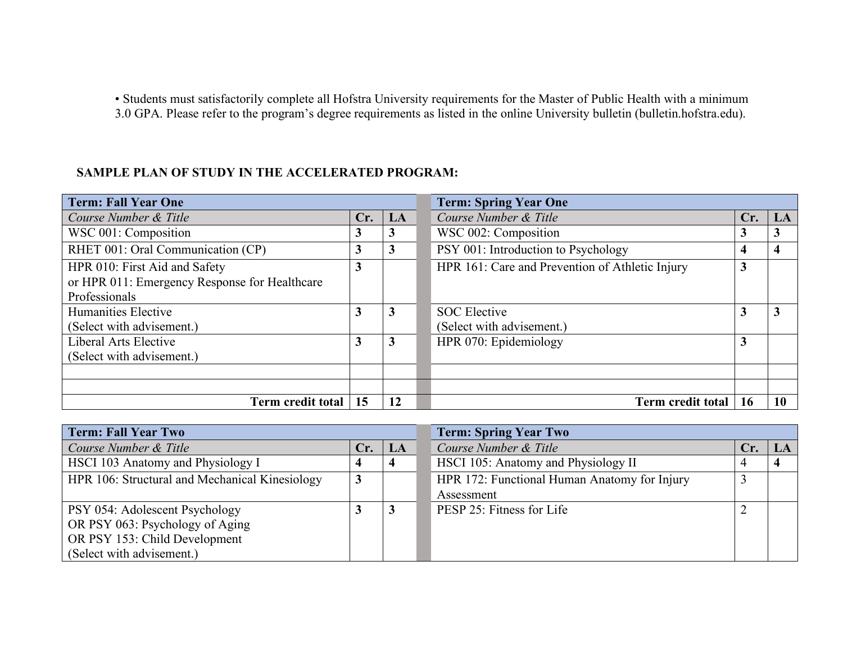• Students must satisfactorily complete all Hofstra University requirements for the Master of Public Health with a minimum 3.0 GPA. Please refer to the program's degree requirements as listed in the online University bulletin [\(bulletin.hofstra.edu\)](https://bulletin.hofstra.edu).

#### **SAMPLE PLAN OF STUDY IN THE ACCELERATED PROGRAM:**

| <b>Term: Fall Year One</b>                    |     |    | <b>Term: Spring Year One</b>                    |     |    |  |  |
|-----------------------------------------------|-----|----|-------------------------------------------------|-----|----|--|--|
| Course Number & Title                         | Cr. | LA | Course Number & Title                           | Cr. | LA |  |  |
| WSC 001: Composition                          | 3   | 3  | WSC 002: Composition                            | J   | 3  |  |  |
| RHET 001: Oral Communication (CP)             | 3   | 3  | PSY 001: Introduction to Psychology             |     | 4  |  |  |
| HPR 010: First Aid and Safety                 | 3   |    | HPR 161: Care and Prevention of Athletic Injury | 3   |    |  |  |
| or HPR 011: Emergency Response for Healthcare |     |    |                                                 |     |    |  |  |
| Professionals                                 |     |    |                                                 |     |    |  |  |
| Humanities Elective                           | 3   | 3  | <b>SOC</b> Elective                             |     | 3  |  |  |
| (Select with advisement.)                     |     |    | (Select with advisement.)                       |     |    |  |  |
| Liberal Arts Elective                         | 3   | 3  | HPR 070: Epidemiology                           | 3   |    |  |  |
| (Select with advisement.)                     |     |    |                                                 |     |    |  |  |
|                                               |     |    |                                                 |     |    |  |  |
|                                               |     |    |                                                 |     |    |  |  |
| Term credit total                             | 15  | 12 | <b>Term credit total</b>                        | 16  | 10 |  |  |

| <b>Term: Fall Year Two</b>                     |     |    | <b>Term: Spring Year Two</b>                 |     |  |  |  |
|------------------------------------------------|-----|----|----------------------------------------------|-----|--|--|--|
| Course Number & Title                          | Cr. | LA | Course Number & Title                        | Cr. |  |  |  |
| HSCI 103 Anatomy and Physiology I              |     |    | HSCI 105: Anatomy and Physiology II          |     |  |  |  |
| HPR 106: Structural and Mechanical Kinesiology |     |    | HPR 172: Functional Human Anatomy for Injury |     |  |  |  |
|                                                |     |    | Assessment                                   |     |  |  |  |
| <b>PSY 054: Adolescent Psychology</b>          |     |    | PESP 25: Fitness for Life                    |     |  |  |  |
| OR PSY 063: Psychology of Aging                |     |    |                                              |     |  |  |  |
| OR PSY 153: Child Development                  |     |    |                                              |     |  |  |  |
| (Select with advisement.)                      |     |    |                                              |     |  |  |  |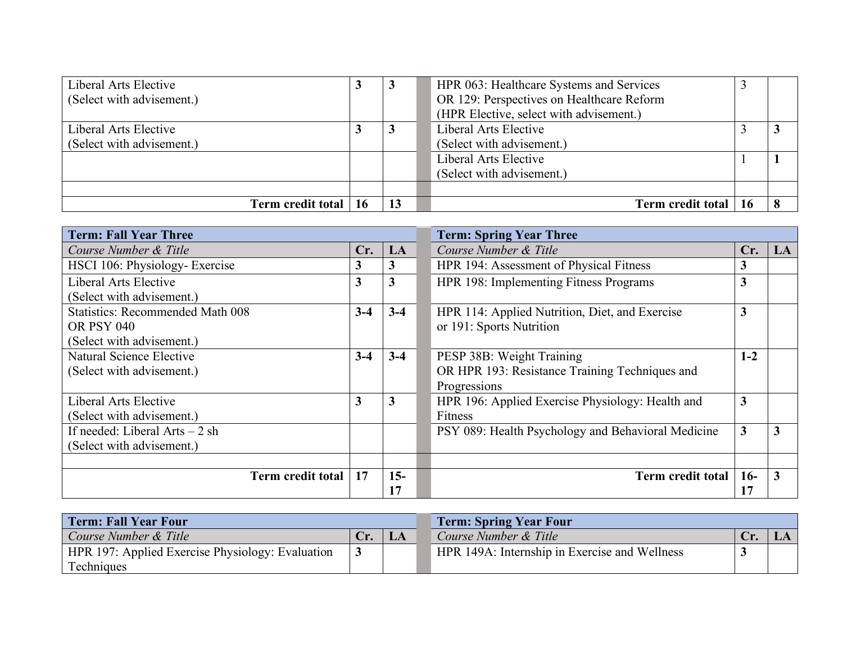| Liberal Arts Elective     | J | HPR 063: Healthcare Systems and Services  |    |   |
|---------------------------|---|-------------------------------------------|----|---|
| (Select with advisement.) |   | OR 129: Perspectives on Healthcare Reform |    |   |
|                           |   | (HPR Elective, select with advisement.)   |    |   |
| Liberal Arts Elective     |   | Liberal Arts Elective                     |    | Ĵ |
| (Select with advisement.) |   | (Select with advisement.)                 |    |   |
|                           |   | Liberal Arts Elective                     |    |   |
|                           |   | (Select with advisement.)                 |    |   |
|                           |   |                                           |    |   |
| Term credit total   16    |   | Term credit total                         | 16 |   |

| <b>Term: Fall Year Three</b>            |         |        | <b>Term: Spring Year Three</b>                     |       |    |
|-----------------------------------------|---------|--------|----------------------------------------------------|-------|----|
| Course Number & Title                   | Cr.     | LA     | Course Number & Title                              | Cr.   | LA |
| HSCI 106: Physiology-Exercise           | 3       | 3      | HPR 194: Assessment of Physical Fitness            | 3     |    |
| Liberal Arts Elective                   | 3       | 3      | HPR 198: Implementing Fitness Programs             | 3     |    |
| (Select with advisement.)               |         |        |                                                    |       |    |
| <b>Statistics: Recommended Math 008</b> | $3 - 4$ | $3-4$  | HPR 114: Applied Nutrition, Diet, and Exercise     | 3     |    |
| <b>OR PSY 040</b>                       |         |        | or 191: Sports Nutrition                           |       |    |
| (Select with advisement.)               |         |        |                                                    |       |    |
| Natural Science Elective                | $3-4$   | $3-4$  | PESP 38B: Weight Training                          | $1-2$ |    |
| (Select with advisement.)               |         |        | OR HPR 193: Resistance Training Techniques and     |       |    |
|                                         |         |        | Progressions                                       |       |    |
| Liberal Arts Elective                   | 3       | 3      | HPR 196: Applied Exercise Physiology: Health and   | 3     |    |
| (Select with advisement.)               |         |        | Fitness                                            |       |    |
| If needed: Liberal Arts $-2$ sh         |         |        | PSY 089: Health Psychology and Behavioral Medicine | 3     |    |
| (Select with advisement.)               |         |        |                                                    |       |    |
|                                         |         |        |                                                    |       |    |
| Term credit total                       | 17      | $15 -$ | <b>Term credit total</b>                           | $16-$ |    |
|                                         |         | 17     |                                                    |       |    |

| <b>Term: Fall Year Four</b>                             | <b>Term: Spring Year Four</b> |    |                                               |     |  |
|---------------------------------------------------------|-------------------------------|----|-----------------------------------------------|-----|--|
| Course Number & Title                                   | Cr.                           | LA | Course Number & Title                         | Cr. |  |
| <b>HPR 197: Applied Exercise Physiology: Evaluation</b> |                               |    | HPR 149A: Internship in Exercise and Wellness |     |  |
| Techniques                                              |                               |    |                                               |     |  |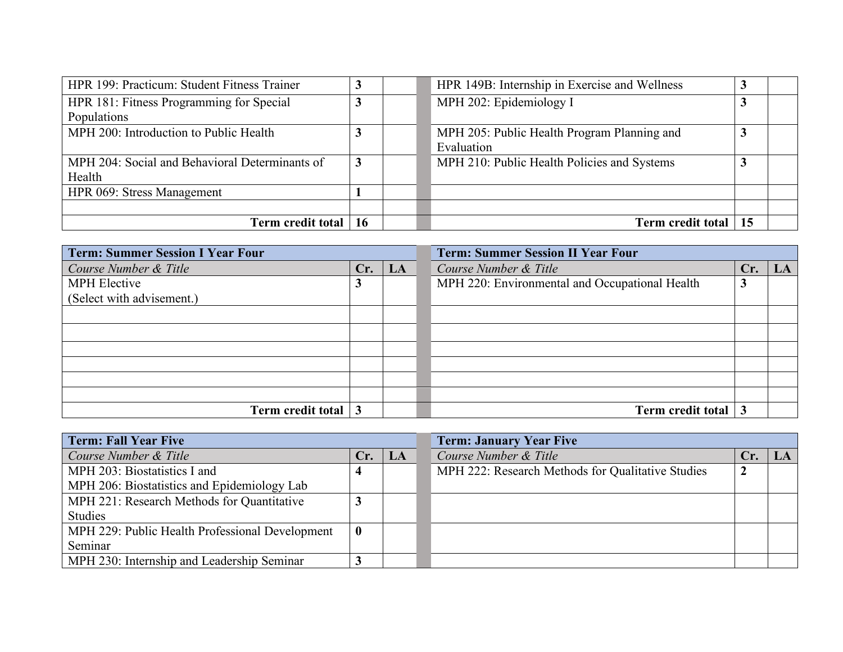| HPR 199: Practicum: Student Fitness Trainer    |  | HPR 149B: Internship in Exercise and Wellness |    |  |
|------------------------------------------------|--|-----------------------------------------------|----|--|
| HPR 181: Fitness Programming for Special       |  | MPH 202: Epidemiology I                       |    |  |
| Populations                                    |  |                                               |    |  |
| MPH 200: Introduction to Public Health         |  | MPH 205: Public Health Program Planning and   |    |  |
|                                                |  | Evaluation                                    |    |  |
| MPH 204: Social and Behavioral Determinants of |  | MPH 210: Public Health Policies and Systems   |    |  |
| Health                                         |  |                                               |    |  |
| HPR 069: Stress Management                     |  |                                               |    |  |
|                                                |  |                                               |    |  |
| Term credit total   16                         |  | <b>Term credit total</b>                      | 15 |  |

| <b>Term: Summer Session I Year Four</b> |     |    | <b>Term: Summer Session II Year Four</b>       |     |  |  |  |
|-----------------------------------------|-----|----|------------------------------------------------|-----|--|--|--|
| Course Number & Title                   | Cr. | LA | Course Number & Title                          | Cr. |  |  |  |
| <b>MPH</b> Elective                     |     |    | MPH 220: Environmental and Occupational Health |     |  |  |  |
| (Select with advisement.)               |     |    |                                                |     |  |  |  |
|                                         |     |    |                                                |     |  |  |  |
|                                         |     |    |                                                |     |  |  |  |
|                                         |     |    |                                                |     |  |  |  |
|                                         |     |    |                                                |     |  |  |  |
|                                         |     |    |                                                |     |  |  |  |
|                                         |     |    |                                                |     |  |  |  |
| Term credit total                       |     |    | Term credit total                              |     |  |  |  |

| <b>Term: Fall Year Five</b>                     |                  |    | <b>Term: January Year Five</b>                    |     |    |  |  |
|-------------------------------------------------|------------------|----|---------------------------------------------------|-----|----|--|--|
| Course Number & Title                           | Cr.              | LA | Course Number & Title                             | Cr. | LA |  |  |
| MPH 203: Biostatistics I and                    |                  |    | MPH 222: Research Methods for Qualitative Studies | 2   |    |  |  |
| MPH 206: Biostatistics and Epidemiology Lab     |                  |    |                                                   |     |    |  |  |
| MPH 221: Research Methods for Quantitative      |                  |    |                                                   |     |    |  |  |
| <b>Studies</b>                                  |                  |    |                                                   |     |    |  |  |
| MPH 229: Public Health Professional Development | $\boldsymbol{0}$ |    |                                                   |     |    |  |  |
| Seminar                                         |                  |    |                                                   |     |    |  |  |
| MPH 230: Internship and Leadership Seminar      |                  |    |                                                   |     |    |  |  |